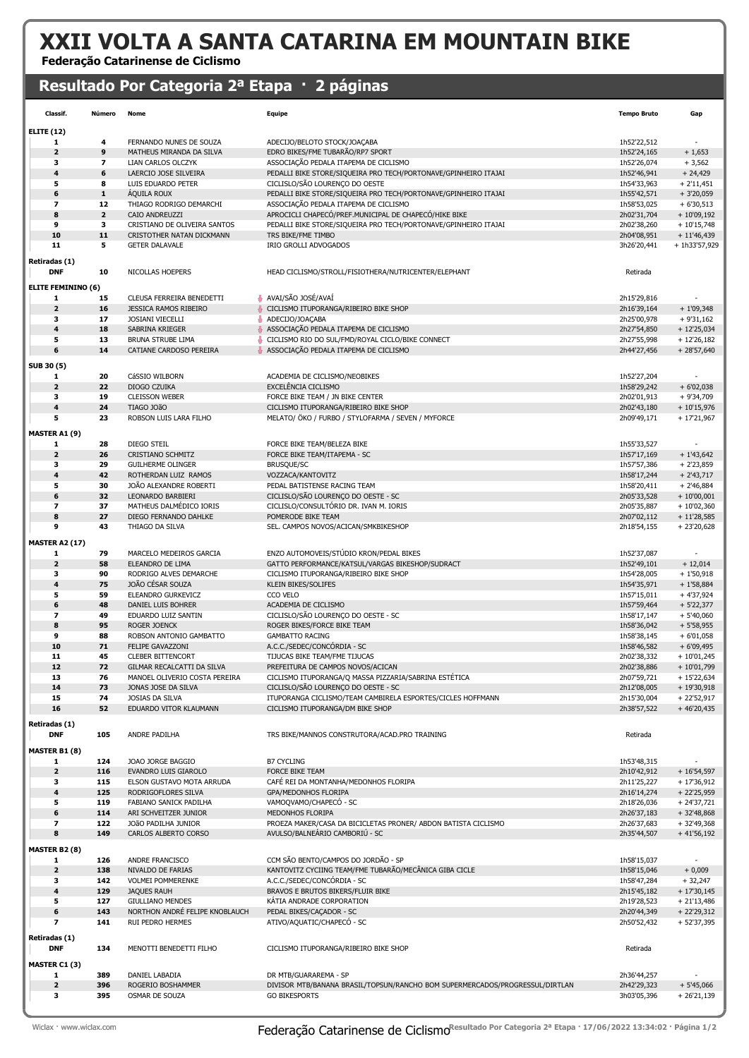# XXII VOLTA A SANTA CATARINA EM MOUNTAIN BIKE

Federação Catarinense de Ciclismo

### Resultado Por Categoria 2ª Etapa · 2 páginas

| Classif.                    | Número                   | Nome                                                 | Equipe                                                                                                | <b>Tempo Bruto</b>         | Gap                          |
|-----------------------------|--------------------------|------------------------------------------------------|-------------------------------------------------------------------------------------------------------|----------------------------|------------------------------|
| <b>ELITE (12)</b>           |                          |                                                      |                                                                                                       |                            |                              |
| 1                           | 4                        | FERNANDO NUNES DE SOUZA                              | ADECIJO/BELOTO STOCK/JOACABA                                                                          | 1h52'22,512                |                              |
| $\mathbf{z}$                | 9                        | MATHEUS MIRANDA DA SILVA                             | EDRO BIKES/FME TUBARÃO/RP7 SPORT                                                                      | 1h52'24,165                | $+1,653$                     |
| 3                           | $\overline{\phantom{a}}$ | LIAN CARLOS OLCZYK                                   | ASSOCIAÇÃO PEDALA ITAPEMA DE CICLISMO                                                                 | 1h52'26,074                | $+3,562$                     |
| 4                           | 6                        | LAERCIO JOSE SILVEIRA                                | PEDALLI BIKE STORE/SIQUEIRA PRO TECH/PORTONAVE/GPINHEIRO ITAJAI                                       | 1h52'46,941                | $+24,429$                    |
| 5                           | 8                        | LUIS EDUARDO PETER                                   | CICLISLO/SÃO LOURENÇO DO OESTE                                                                        | 1h54'33,963                | $+2'11,451$                  |
| 6                           | ${\bf 1}$                | <b>AQUILA ROUX</b>                                   | PEDALLI BIKE STORE/SIQUEIRA PRO TECH/PORTONAVE/GPINHEIRO ITAJAI                                       | 1h55'42,571                | $+3'20,059$                  |
| $\overline{ }$              | 12                       | THIAGO RODRIGO DEMARCHI                              | ASSOCIAÇÃO PEDALA ITAPEMA DE CICLISMO                                                                 | 1h58'53,025                | $+6'30,513$                  |
| 8<br>9                      | $\mathbf{z}$             | CAIO ANDREUZZI<br>CRISTIANO DE OLIVEIRA SANTOS       | APROCICLI CHAPECÓ/PREF.MUNICIPAL DE CHAPECÓ/HIKE BIKE                                                 | 2h02'31,704                | $+10'09,192$                 |
| 10                          | 3<br>11                  | CRISTOTHER NATAN DICKMANN                            | PEDALLI BIKE STORE/SIQUEIRA PRO TECH/PORTONAVE/GPINHEIRO ITAJAI<br>TRS BIKE/FME TIMBO                 | 2h02'38,260<br>2h04'08,951 | $+10'15,748$<br>$+11'46,439$ |
| 11                          | 5                        | <b>GETER DALAVALE</b>                                | <b>IRIO GROLLI ADVOGADOS</b>                                                                          | 3h26'20,441                | + 1h33'57,929                |
|                             |                          |                                                      |                                                                                                       |                            |                              |
| Retiradas (1)<br><b>DNF</b> | 10                       | NICOLLAS HOEPERS                                     |                                                                                                       |                            |                              |
|                             |                          |                                                      | HEAD CICLISMO/STROLL/FISIOTHERA/NUTRICENTER/ELEPHANT                                                  | Retirada                   |                              |
| <b>ELITE FEMININO (6)</b>   |                          |                                                      |                                                                                                       |                            |                              |
| 1                           | 15                       | CLEUSA FERREIRA BENEDETTI                            | AVAI/SÃO JOSÉ/AVAÍ                                                                                    | 2h15'29,816                |                              |
| $\mathbf{z}$                | 16                       | JESSICA RAMOS RIBEIRO                                | CICLISMO ITUPORANGA/RIBEIRO BIKE SHOP                                                                 | 2h16'39,164                | $+1'09,348$                  |
| 3                           | 17                       | <b>JOSIANI VIECELLI</b>                              | ADECIJO/JOAÇABA                                                                                       | 2h25'00,978                | $+9'31,162$                  |
| 4                           | 18                       | SABRINA KRIEGER                                      | ASSOCIAÇÃO PEDALA ITAPEMA DE CICLISMO                                                                 | 2h27'54,850                | $+12'25,034$                 |
| 5<br>6                      | 13                       | BRUNA STRUBE LIMA                                    | CICLISMO RIO DO SUL/FMD/ROYAL CICLO/BIKE CONNECT                                                      | 2h27'55,998                | $+12'26,182$                 |
|                             | 14                       | CATIANE CARDOSO PEREIRA                              | ASSOCIAÇÃO PEDALA ITAPEMA DE CICLISMO                                                                 | 2h44'27,456                | $+28'57,640$                 |
| SUB 30 (5)                  |                          |                                                      |                                                                                                       |                            |                              |
| 1                           | 20                       | CáSSIO WILBORN                                       | ACADEMIA DE CICLISMO/NEOBIKES                                                                         | 1h52'27,204                |                              |
| $\overline{2}$              | 22                       | DIOGO CZUIKA                                         | EXCELÊNCIA CICLISMO                                                                                   | 1h58'29,242                | $+6'02,038$                  |
| 3                           | 19                       | <b>CLEISSON WEBER</b>                                | FORCE BIKE TEAM / JN BIKE CENTER                                                                      | 2h02'01,913                | $+9'34,709$                  |
| 4                           | 24                       | TIAGO JOãO                                           | CICLISMO ITUPORANGA/RIBEIRO BIKE SHOP                                                                 | 2h02'43,180                | $+10'15,976$                 |
| 5                           | 23                       | ROBSON LUIS LARA FILHO                               | MELATO/ ÖKO / FURBO / STYLOFARMA / SEVEN / MYFORCE                                                    | 2h09'49,171                | $+17'21,967$                 |
| MASTER A1 (9)               |                          |                                                      |                                                                                                       |                            |                              |
| 1                           | 28                       | DIEGO STEIL                                          | FORCE BIKE TEAM/BELEZA BIKE                                                                           | 1h55'33,527                |                              |
| $\overline{2}$              | 26                       | <b>CRISTIANO SCHMITZ</b>                             | FORCE BIKE TEAM/ITAPEMA - SC                                                                          | 1h57'17,169                | $+1'43,642$                  |
| з                           | 29                       | <b>GUILHERME OLINGER</b>                             | BRUSQUE/SC                                                                                            | 1h57'57,386                | $+2'23,859$                  |
| 4                           | 42                       | ROTHERDAN LUIZ RAMOS                                 | VOZZACA/KANTOVITZ                                                                                     | 1h58'17,244                | $+2'43,717$                  |
| 5<br>6                      | 30<br>32                 | JOÃO ALEXANDRE ROBERTI<br>LEONARDO BARBIERI          | PEDAL BATISTENSE RACING TEAM<br>CICLISLO/SÃO LOURENÇO DO OESTE - SC                                   | 1h58'20,411<br>2h05'33,528 | $+2'46,884$<br>$+10'00,001$  |
| $\overline{\phantom{a}}$    | 37                       | MATHEUS DALMÉDICO IORIS                              | CICLISLO/CONSULTÓRIO DR. IVAN M. IORIS                                                                | 2h05'35,887                | $+10'02,360$                 |
| 8                           | 27                       | DIEGO FERNANDO DAHLKE                                | POMERODE BIKE TEAM                                                                                    | 2h07'02,112                | $+11'28,585$                 |
| 9                           | 43                       | THIAGO DA SILVA                                      | SEL. CAMPOS NOVOS/ACICAN/SMKBIKESHOP                                                                  | 2h18'54,155                | $+23'20,628$                 |
|                             |                          |                                                      |                                                                                                       |                            |                              |
| <b>MASTER A2 (17)</b>       | 79                       |                                                      | ENZO AUTOMOVEIS/STÚDIO KRON/PEDAL BIKES                                                               |                            |                              |
| 1<br>$\mathbf{z}$           | 58                       | MARCELO MEDEIROS GARCIA<br>ELEANDRO DE LIMA          | GATTO PERFORMANCE/KATSUL/VARGAS BIKESHOP/SUDRACT                                                      | 1h52'37,087<br>1h52'49,101 | $+12,014$                    |
| з                           | 90                       | RODRIGO ALVES DEMARCHE                               | CICLISMO ITUPORANGA/RIBEIRO BIKE SHOP                                                                 | 1h54'28,005                | $+1'50,918$                  |
| 4                           | 75                       | JOÃO CÉSAR SOUZA                                     | KLEIN BIKES/SOLIFES                                                                                   | 1h54'35,971                | $+1'58,884$                  |
| 5                           | 59                       | ELEANDRO GURKEVICZ                                   | CCO VELO                                                                                              | 1h57'15,011                | $+4'37,924$                  |
| 6                           | 48                       | <b>DANIEL LUIS BOHRER</b>                            | ACADEMIA DE CICLISMO                                                                                  | 1h57'59,464                | $+5'22,377$                  |
| $\overline{\phantom{a}}$    | 49                       | EDUARDO LUIZ SANTIN                                  | CICLISLO/SÃO LOURENÇO DO OESTE - SC                                                                   | 1h58'17,147                | $+5'40,060$                  |
| 8                           | 95                       | <b>ROGER JOENCK</b>                                  | ROGER BIKES/FORCE BIKE TEAM                                                                           | 1h58'36,042                | $+5'58,955$                  |
| 9                           | 88                       | ROBSON ANTONIO GAMBATTO                              | <b>GAMBATTO RACING</b>                                                                                | 1h58'38,145                | $+6'01,058$                  |
| 10                          | 71                       | <b>FELIPE GAVAZZONI</b>                              | A.C.C./SEDEC/CONCORDIA - SC                                                                           | 1h58'46,582                | $+6'09,495$                  |
| 11                          | 45                       | <b>CLEBER BITTENCORT</b>                             | TIJUCAS BIKE TEAM/FME TIJUCAS                                                                         | 2h02'38,332                | $+10'01,245$                 |
| 12                          | 72                       | GILMAR RECALCATTI DA SILVA                           | PREFEITURA DE CAMPOS NOVOS/ACICAN                                                                     | 2h02'38,886                | + 10'01,799                  |
| 13<br>14                    | 76<br>73                 | MANOEL OLIVERIO COSTA PEREIRA<br>JONAS JOSE DA SILVA | CICLISMO ITUPORANGA/Q MASSA PIZZARIA/SABRINA ESTÉTICA<br>CICLISLO/SÃO LOURENÇO DO OESTE - SC          | 2h07'59,721<br>2h12'08,005 | $+15'22,634$<br>$+19'30,918$ |
| 15                          | 74                       | JOSIAS DA SILVA                                      | ITUPORANGA CICLISMO/TEAM CAMBIRELA ESPORTES/CICLES HOFFMANN                                           | 2h15'30,004                | $+22'52,917$                 |
| 16                          | 52                       | EDUARDO VITOR KLAUMANN                               | CICLISMO ITUPORANGA/DM BIKE SHOP                                                                      | 2h38'57,522                | $+46'20,435$                 |
|                             |                          |                                                      |                                                                                                       |                            |                              |
| Retiradas (1)<br><b>DNF</b> | 105                      | ANDRE PADILHA                                        | TRS BIKE/MANNOS CONSTRUTORA/ACAD.PRO TRAINING                                                         | Retirada                   |                              |
|                             |                          |                                                      |                                                                                                       |                            |                              |
| <b>MASTER B1 (8)</b><br>1   | 124                      | JOAO JORGE BAGGIO                                    | <b>B7 CYCLING</b>                                                                                     | 1h53'48,315                |                              |
| $\mathbf{z}$                | 116                      | EVANDRO LUIS GIAROLO                                 | FORCE BIKE TEAM                                                                                       | 2h10'42,912                | $+16'54,597$                 |
| з                           | 115                      | ELSON GUSTAVO MOTA ARRUDA                            | CAFÉ REI DA MONTANHA/MEDONHOS FLORIPA                                                                 | 2h11'25,227                | $+17'36,912$                 |
| 4                           | 125                      | RODRIGOFLORES SILVA                                  | GPA/MEDONHOS FLORIPA                                                                                  | 2h16'14,274                | $+22'25,959$                 |
| 5                           | 119                      | FABIANO SANICK PADILHA                               | VAMOQVAMO/CHAPECÓ - SC                                                                                | 2h18'26,036                | $+ 24'37,721$                |
| 6                           | 114                      | ARI SCHVEITZER JUNIOR                                | MEDONHOS FLORIPA                                                                                      | 2h26'37,183                | $+32'48,868$                 |
| 7                           | 122                      | JOÃO PADILHA JUNIOR                                  | PROEZA MAKER/CASA DA BICICLETAS PRONER/ ABDON BATISTA CICLISMO                                        | 2h26'37,683                | $+32'49,368$                 |
| 8                           | 149                      | CARLOS ALBERTO CORSO                                 | AVULSO/BALNEÁRIO CAMBORIÚ - SC                                                                        | 2h35'44,507                | $+41'56,192$                 |
| <b>MASTER B2 (8)</b>        |                          |                                                      |                                                                                                       |                            |                              |
| 1                           | 126                      | ANDRE FRANCISCO                                      | CCM SÃO BENTO/CAMPOS DO JORDÃO - SP                                                                   | 1h58'15,037                |                              |
| $\mathbf{z}$                | 138                      | NIVALDO DE FARIAS                                    | KANTOVITZ CYCIING TEAM/FME TUBARÃO/MECÂNICA GIBA CICLE                                                | 1h58'15,046                | $+0,009$                     |
| з                           | 142                      | <b>VOLMEI POMMERENKE</b>                             | A.C.C./SEDEC/CONCÓRDIA - SC                                                                           | 1h58'47,284                | $+32,247$                    |
| 4                           | 129                      | <b>JAQUES RAUH</b>                                   | BRAVOS E BRUTOS BIKERS/FLUIR BIKE                                                                     | 2h15'45,182                | $+17'30,145$                 |
| 5                           | 127                      | <b>GIULLIANO MENDES</b>                              | KÁTIA ANDRADE CORPORATION                                                                             | 2h19'28,523                | $+21'13,486$                 |
| 6                           | 143                      | NORTHON ANDRÉ FELIPE KNOBLAUCH                       | PEDAL BIKES/CAÇADOR - SC                                                                              | 2h20'44,349                | $+22'29,312$                 |
| 7                           | 141                      | RUI PEDRO HERMES                                     | ATIVO/AQUATIC/CHAPECÓ - SC                                                                            | 2h50'52,432                | + 52'37,395                  |
| Retiradas (1)               |                          |                                                      |                                                                                                       |                            |                              |
| <b>DNF</b>                  | 134                      | MENOTTI BENEDETTI FILHO                              | CICLISMO ITUPORANGA/RIBEIRO BIKE SHOP                                                                 | Retirada                   |                              |
|                             |                          |                                                      |                                                                                                       |                            |                              |
| MASTER C1 (3)               |                          |                                                      |                                                                                                       |                            |                              |
| 1<br>$\mathbf{z}$           | 389<br>396               | DANIEL LABADIA<br>ROGERIO BOSHAMMER                  | DR MTB/GUARAREMA - SP<br>DIVISOR MTB/BANANA BRASIL/TOPSUN/RANCHO BOM SUPERMERCADOS/PROGRESSUL/DIRTLAN | 2h36'44,257<br>2h42'29,323 | $+5'45,066$                  |
| з                           | 395                      | OSMAR DE SOUZA                                       | <b>GO BIKESPORTS</b>                                                                                  | 3h03'05,396                | $+26'21,139$                 |
|                             |                          |                                                      |                                                                                                       |                            |                              |

Wiclax · www.wiclax.com **Rederação Catarinense de Ciclismo**Resultado Por Categoria 2ª Etapa · 17/06/2022 13:34:02 · Página 1/2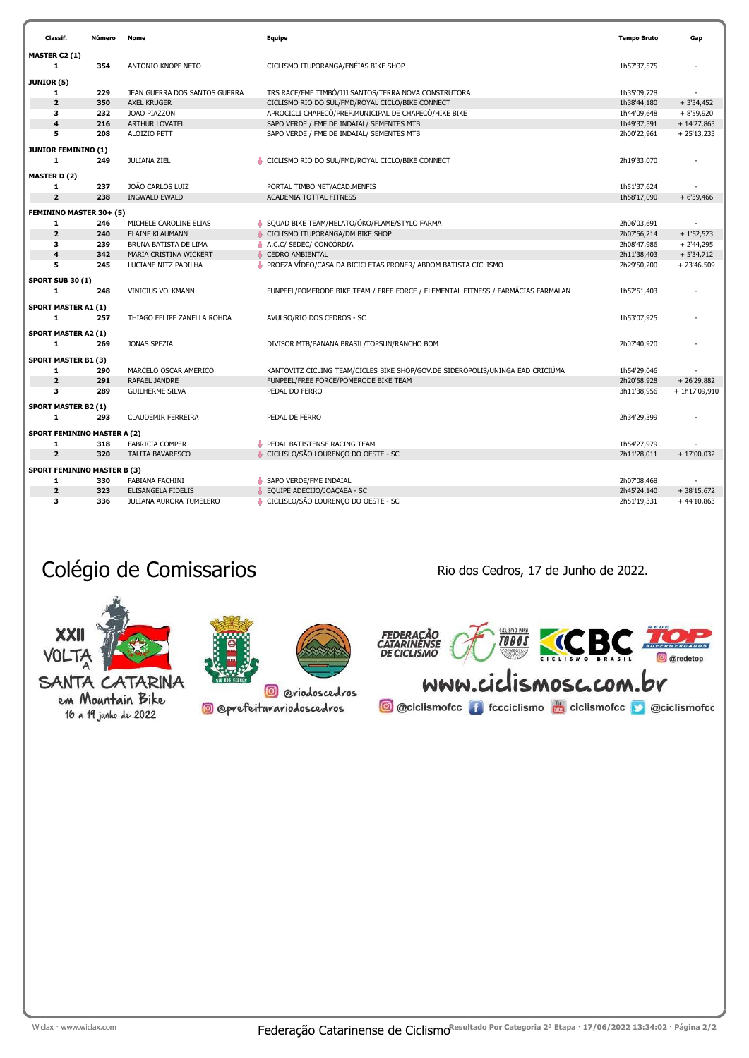|                                    | Classif.                        | Número | Nome                           | Equipe                                                                           | <b>Tempo Bruto</b> | Gap           |  |  |
|------------------------------------|---------------------------------|--------|--------------------------------|----------------------------------------------------------------------------------|--------------------|---------------|--|--|
|                                    | MASTER C2 (1)                   |        |                                |                                                                                  |                    |               |  |  |
|                                    | 1                               | 354    | ANTONIO KNOPF NETO             | CICLISMO ITUPORANGA/ENÉIAS BIKE SHOP                                             | 1h57'37,575        |               |  |  |
| JUNIOR (5)                         |                                 |        |                                |                                                                                  |                    |               |  |  |
|                                    | 1                               | 229    | JEAN GUERRA DOS SANTOS GUERRA  | TRS RACE/FME TIMBÓ/JJJ SANTOS/TERRA NOVA CONSTRUTORA                             | 1h35'09,728        |               |  |  |
|                                    | $\overline{2}$                  | 350    | <b>AXEL KRUGER</b>             | CICLISMO RIO DO SUL/FMD/ROYAL CICLO/BIKE CONNECT                                 | 1h38'44,180        | $+3'34,452$   |  |  |
|                                    | 3                               | 232    | JOAO PIAZZON                   | APROCICLI CHAPECÓ/PREF.MUNICIPAL DE CHAPECÓ/HIKE BIKE                            | 1h44'09,648        | $+8'59,920$   |  |  |
|                                    | $\overline{\mathbf{4}}$         | 216    | <b>ARTHUR LOVATEL</b>          | SAPO VERDE / FME DE INDAIAL/ SEMENTES MTB                                        | 1h49'37,591        | $+ 14'27,863$ |  |  |
|                                    | 5                               | 208    | ALOIZIO PETT                   | SAPO VERDE / FME DE INDAIAL/ SEMENTES MTB                                        | 2h00'22,961        | $+25'13,233$  |  |  |
|                                    |                                 |        |                                |                                                                                  |                    |               |  |  |
|                                    | <b>JUNIOR FEMININO (1)</b><br>1 | 249    | <b>JULIANA ZIEL</b>            | CICLISMO RIO DO SUL/FMD/ROYAL CICLO/BIKE CONNECT                                 | 2h19'33,070        |               |  |  |
|                                    |                                 |        |                                |                                                                                  |                    |               |  |  |
|                                    | <b>MASTER D (2)</b>             |        |                                |                                                                                  |                    |               |  |  |
|                                    | 1                               | 237    | JOÃO CARLOS LUIZ               | PORTAL TIMBO NET/ACAD.MENFIS                                                     | 1h51'37,624        |               |  |  |
|                                    | $\overline{2}$                  | 238    | <b>INGWALD EWALD</b>           | ACADEMIA TOTTAL FITNESS                                                          | 1h58'17,090        | $+6'39,466$   |  |  |
|                                    | FEMININO MASTER 30+ (5)         |        |                                |                                                                                  |                    |               |  |  |
|                                    | 1                               | 246    | MICHELE CAROLINE ELIAS         | SQUAD BIKE TEAM/MELATO/ÔKO/FLAME/STYLO FARMA                                     | 2h06'03,691        |               |  |  |
|                                    | $\overline{2}$                  | 240    | <b>ELAINE KLAUMANN</b>         | CICLISMO ITUPORANGA/DM BIKE SHOP                                                 | 2h07'56,214        | $+1'52,523$   |  |  |
|                                    | 3                               | 239    | BRUNA BATISTA DE LIMA          | A.C.C/ SEDEC/ CONCÓRDIA                                                          | 2h08'47,986        | $+2'44,295$   |  |  |
|                                    | $\overline{\mathbf{4}}$         | 342    | MARIA CRISTINA WICKERT         | <b>CEDRO AMBIENTAL</b>                                                           | 2h11'38,403        | $+5'34,712$   |  |  |
|                                    | 5                               | 245    | LUCIANE NITZ PADILHA           | PROEZA VÍDEO/CASA DA BICICLETAS PRONER/ ABDOM BATISTA CICLISMO                   | 2h29'50,200        | $+23'46,509$  |  |  |
|                                    | <b>SPORT SUB 30 (1)</b>         |        |                                |                                                                                  |                    |               |  |  |
|                                    | 1                               | 248    | VINICIUS VOLKMANN              | FUNPEEL/POMERODE BIKE TEAM / FREE FORCE / ELEMENTAL FITNESS / FARMÁCIAS FARMALAN | 1h52'51,403        |               |  |  |
|                                    |                                 |        |                                |                                                                                  |                    |               |  |  |
|                                    | <b>SPORT MASTER A1 (1)</b>      |        |                                |                                                                                  |                    |               |  |  |
|                                    | 1                               | 257    | THIAGO FELIPE ZANELLA ROHDA    | AVULSO/RIO DOS CEDROS - SC                                                       | 1h53'07,925        |               |  |  |
|                                    | <b>SPORT MASTER A2 (1)</b>      |        |                                |                                                                                  |                    |               |  |  |
|                                    | 1                               | 269    | <b>JONAS SPEZIA</b>            | DIVISOR MTB/BANANA BRASIL/TOPSUN/RANCHO BOM                                      | 2h07'40,920        |               |  |  |
|                                    | <b>SPORT MASTER B1 (3)</b>      |        |                                |                                                                                  |                    |               |  |  |
|                                    | $\mathbf{1}$                    | 290    | MARCELO OSCAR AMERICO          | KANTOVITZ CICLING TEAM/CICLES BIKE SHOP/GOV.DE SIDEROPOLIS/UNINGA EAD CRICIÚMA   | 1h54'29,046        |               |  |  |
|                                    | $\overline{2}$                  | 291    | RAFAEL JANDRE                  | FUNPEEL/FREE FORCE/POMERODE BIKE TEAM                                            | 2h20'58,928        | $+26'29,882$  |  |  |
|                                    | 3                               | 289    | <b>GUILHERME SILVA</b>         | PEDAL DO FERRO                                                                   | 3h11'38,956        | +1h17'09,910  |  |  |
|                                    |                                 |        |                                |                                                                                  |                    |               |  |  |
|                                    | <b>SPORT MASTER B2 (1)</b>      |        |                                |                                                                                  |                    |               |  |  |
|                                    | 1                               | 293    | <b>CLAUDEMIR FERREIRA</b>      | PEDAL DE FERRO                                                                   | 2h34'29,399        |               |  |  |
| <b>SPORT FEMININO MASTER A (2)</b> |                                 |        |                                |                                                                                  |                    |               |  |  |
|                                    | 1                               | 318    | <b>FABRICIA COMPER</b>         | PEDAL BATISTENSE RACING TEAM                                                     | 1h54'27,979        |               |  |  |
|                                    | $\overline{2}$                  | 320    | <b>TALITA BAVARESCO</b>        | CICLISLO/SÃO LOURENÇO DO OESTE - SC                                              | 2h11'28,011        | $+17'00,032$  |  |  |
| <b>SPORT FEMININO MASTER B (3)</b> |                                 |        |                                |                                                                                  |                    |               |  |  |
|                                    | 1                               | 330    | <b>FABIANA FACHINI</b>         | SAPO VERDE/FME INDAIAL                                                           | 2h07'08,468        |               |  |  |
|                                    | $\overline{2}$                  | 323    | ELISANGELA FIDELIS             | EQUIPE ADECIJO/JOACABA - SC                                                      | 2h45'24,140        | $+38'15,672$  |  |  |
|                                    | 3                               | 336    | <b>JULIANA AURORA TUMELERO</b> | CICLISLO/SÃO LOURENÇO DO OESTE - SC                                              | 2h51'19,331        | $+44'10,863$  |  |  |
|                                    |                                 |        |                                |                                                                                  |                    |               |  |  |

### Colégio de Comissarios **Rio dos Cedros, 17 de Junho de 2022**.







SANTA CATARINA em Mountain Bike 16 a 19 junho de 2022

**@** @prefeiturariodoscedros

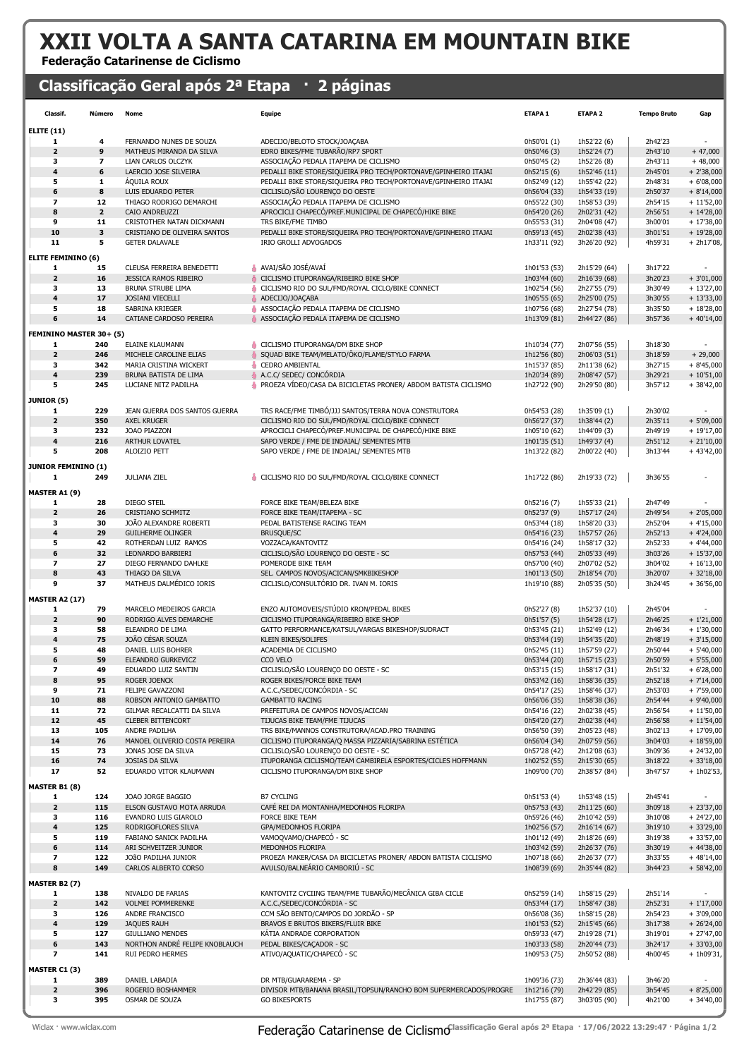# XXII VOLTA A SANTA CATARINA EM MOUNTAIN BIKE

#### Federação Catarinense de Ciclismo

### Classificação Geral após 2ª Etapa · 2 páginas

| Classif.                   | Número                  | Nome                           | <b>Equipe</b>                                                    | ETAPA <sub>1</sub> | ETAPA <sub>2</sub> | <b>Tempo Bruto</b> | Gap          |
|----------------------------|-------------------------|--------------------------------|------------------------------------------------------------------|--------------------|--------------------|--------------------|--------------|
| <b>ELITE (11)</b>          |                         |                                |                                                                  |                    |                    |                    |              |
| 1                          | 4                       | FERNANDO NUNES DE SOUZA        | ADECIJO/BELOTO STOCK/JOAÇABA                                     | 0h50'01 (1)        | 1h52'22 (6)        | 2h42'23            |              |
| $\overline{\mathbf{2}}$    | 9                       | MATHEUS MIRANDA DA SILVA       | EDRO BIKES/FME TUBARÃO/RP7 SPORT                                 | 0h50'46 (3)        | 1h52'24 (7)        | 2h43'10            | $+47,000$    |
| з                          | $\overline{\mathbf{z}}$ | LIAN CARLOS OLCZYK             | ASSOCIAÇÃO PEDALA ITAPEMA DE CICLISMO                            | 0h50'45 (2)        | 1h52'26 (8)        | 2h43'11            | $+48,000$    |
| $\overline{\mathbf{4}}$    | 6                       | LAERCIO JOSE SILVEIRA          | PEDALLI BIKE STORE/SIQUEIRA PRO TECH/PORTONAVE/GPINHEIRO ITAJAI  | 0h52'15(6)         | 1h52'46 (11)       | 2h45'01            | $+2'38,000$  |
| 5                          | $\mathbf{1}$            | <b>AQUILA ROUX</b>             | PEDALLI BIKE STORE/SIQUEIRA PRO TECH/PORTONAVE/GPINHEIRO ITAJAI  | 0h52'49 (12)       | 1h55'42 (22)       | 2h48'31            | $+6'08,000$  |
| 6                          | 8                       | LUIS EDUARDO PETER             | CICLISLO/SÃO LOURENÇO DO OESTE                                   | 0h56'04 (33)       | 1h54'33 (19)       | 2h50'37            | $+8'14,000$  |
| $\overline{\phantom{a}}$   | 12                      | THIAGO RODRIGO DEMARCHI        | ASSOCIAÇÃO PEDALA ITAPEMA DE CICLISMO                            | 0h55'22 (30)       | 1h58'53 (39)       | 2h54'15            | $+11'52,00$  |
| 8                          | $\overline{2}$          | CAIO ANDREUZZI                 | APROCICLI CHAPECÓ/PREF.MUNICIPAL DE CHAPECÓ/HIKE BIKE            | 0h54'20 (26)       | 2h02'31 (42)       | 2h56'51            | $+ 14'28,00$ |
| 9                          | 11                      | CRISTOTHER NATAN DICKMANN      | TRS BIKE/FME TIMBO                                               | 0h55'53 (31)       | 2h04'08 (47)       | 3h00'01            | $+17'38,00$  |
| 10                         | 3                       | CRISTIANO DE OLIVEIRA SANTOS   | PEDALLI BIKE STORE/SIQUEIRA PRO TECH/PORTONAVE/GPINHEIRO ITAJAI  | 0h59'13 (45)       | 2h02'38 (43)       | 3h01'51            | $+ 19'28,00$ |
| 11                         | 5                       | <b>GETER DALAVALE</b>          | IRIO GROLLI ADVOGADOS                                            | 1h33'11 (92)       | 3h26'20 (92)       | 4h59'31            | $+ 2h17'08,$ |
| <b>ELITE FEMININO (6)</b>  |                         |                                |                                                                  |                    |                    |                    |              |
| 1                          | 15                      | CLEUSA FERREIRA BENEDETTI      | AVAI/SÃO JOSÉ/AVAÍ                                               | 1h01'53 (53)       | 2h15'29 (64)       | 3h17'22            |              |
| $\overline{\mathbf{2}}$    | 16                      | JESSICA RAMOS RIBEIRO          | CICLISMO ITUPORANGA/RIBEIRO BIKE SHOP                            | 1h03'44 (60)       | 2h16'39 (68)       | 3h20'23            | $+3'01,000$  |
| з                          | 13                      | BRUNA STRUBE LIMA              | CICLISMO RIO DO SUL/FMD/ROYAL CICLO/BIKE CONNECT                 | 1h02'54 (56)       | 2h27'55 (79)       | 3h30'49            | $+ 13'27,00$ |
| $\overline{\mathbf{4}}$    | 17                      | JOSIANI VIECELLI               | ADECIJO/JOAÇABA                                                  | 1h05'55 (65)       | 2h25'00 (75)       | 3h30'55            | $+13'33,00$  |
| 5                          | 18                      | SABRINA KRIEGER                | ASSOCIAÇÃO PEDALA ITAPEMA DE CICLISMO                            | 1h07'56 (68)       | 2h27'54 (78)       | 3h35'50            | $+18'28,00$  |
| 6                          | 14                      | CATIANE CARDOSO PEREIRA        | ASSOCIAÇÃO PEDALA ITAPEMA DE CICLISMO                            | 1h13'09 (81)       | 2h44'27 (86)       | 3h57'36            | $+40'14,00$  |
|                            |                         |                                |                                                                  |                    |                    |                    |              |
| FEMININO MASTER 30+ (5)    |                         |                                |                                                                  |                    |                    |                    |              |
| 1                          | 240                     | ELAINE KLAUMANN                | CICLISMO ITUPORANGA/DM BIKE SHOP                                 | 1h10'34 (77)       | 2h07'56 (55)       | 3h18'30            |              |
| $\overline{\mathbf{2}}$    | 246                     | MICHELE CAROLINE ELIAS         | SQUAD BIKE TEAM/MELATO/ÔKO/FLAME/STYLO FARMA                     | 1h12'56 (80)       | 2h06'03 (51)       | 3h18'59            | $+29,000$    |
| з                          | 342                     | MARIA CRISTINA WICKERT         | <b>CEDRO AMBIENTAL</b><br>۰                                      | 1h15'37 (85)       | 2h11'38 (62)       | 3h27'15            | $+8'45,000$  |
| $\overline{\mathbf{4}}$    | 239                     | BRUNA BATISTA DE LIMA          | A.C.C/ SEDEC/ CONCÓRDIA                                          | 1h20'34 (89)       | 2h08'47 (57)       | 3h29'21            | $+10'51,00$  |
| 5                          | 245                     | LUCIANE NITZ PADILHA           | PROEZA VÍDEO/CASA DA BICICLETAS PRONER/ ABDOM BATISTA CICLISMO   | 1h27'22 (90)       | 2h29'50 (80)       | 3h57'12            | $+38'42,00$  |
| <b>JUNIOR (5)</b>          |                         |                                |                                                                  |                    |                    |                    |              |
| 1                          | 229                     | JEAN GUERRA DOS SANTOS GUERRA  | TRS RACE/FME TIMBÓ/JJJ SANTOS/TERRA NOVA CONSTRUTORA             | 0h54'53 (28)       | 1h35'09 (1)        | 2h30'02            |              |
| $\overline{\mathbf{2}}$    | 350                     | AXEL KRUGER                    | CICLISMO RIO DO SUL/FMD/ROYAL CICLO/BIKE CONNECT                 | 0h56'27 (37)       | 1h38'44 (2)        | 2h35'11            | $+5'09,000$  |
| з                          | 232                     | JOAO PIAZZON                   | APROCICLI CHAPECÓ/PREF.MUNICIPAL DE CHAPECÓ/HIKE BIKE            | 1h05'10 (62)       | 1h44'09 (3)        | 2h49'19            | $+ 19'17,00$ |
| $\overline{\mathbf{4}}$    | 216                     | ARTHUR LOVATEL                 | SAPO VERDE / FME DE INDAIAL/ SEMENTES MTB                        | 1h01'35 (51)       | 1h49'37 (4)        | 2h51'12            | $+21'10,00$  |
| 5                          | 208                     | ALOIZIO PETT                   | SAPO VERDE / FME DE INDAIAL/ SEMENTES MTB                        | 1h13'22 (82)       | 2h00'22 (40)       | 3h13'44            | $+43'42,00$  |
| <b>JUNIOR FEMININO (1)</b> |                         |                                |                                                                  |                    |                    |                    |              |
| 1                          | 249                     | <b>JULIANA ZIEL</b>            | CICLISMO RIO DO SUL/FMD/ROYAL CICLO/BIKE CONNECT                 | 1h17'22 (86)       | 2h19'33 (72)       | 3h36'55            |              |
|                            |                         |                                |                                                                  |                    |                    |                    |              |
| MASTER A1 (9)              |                         |                                |                                                                  |                    |                    |                    |              |
| 1                          | 28                      | DIEGO STEIL                    | FORCE BIKE TEAM/BELEZA BIKE                                      | 0h52'16 (7)        | 1h55'33 (21)       | 2h47'49            |              |
| $\overline{\mathbf{2}}$    | 26                      | CRISTIANO SCHMITZ              | FORCE BIKE TEAM/ITAPEMA - SC                                     | 0h52'37 (9)        | 1h57'17 (24)       | 2h49'54            | $+2'05,000$  |
| з                          | 30                      | JOÃO ALEXANDRE ROBERTI         | PEDAL BATISTENSE RACING TEAM                                     | 0h53'44 (18)       | 1h58'20 (33)       | 2h52'04            | $+4'15,000$  |
| $\overline{\mathbf{4}}$    | 29                      | <b>GUILHERME OLINGER</b>       | <b>BRUSQUE/SC</b>                                                | 0h54'16 (23)       | 1h57'57 (26)       | 2h52'13            | $+4'24,000$  |
| 5                          | 42                      | ROTHERDAN LUIZ RAMOS           | VOZZACA/KANTOVITZ                                                | 0h54'16 (24)       | 1h58'17 (32)       | 2h52'33            | $+4'44,000$  |
| 6                          | 32                      | LEONARDO BARBIERI              | CICLISLO/SÃO LOURENÇO DO OESTE - SC                              | 0h57'53 (44)       | 2h05'33 (49)       | 3h03'26            | $+15'37,00$  |
| $\overline{\phantom{a}}$   | 27                      | DIEGO FERNANDO DAHLKE          | POMERODE BIKE TEAM                                               | 0h57'00 (40)       | 2h07'02 (52)       | 3h04'02            | $+16'13,00$  |
| 8                          | 43                      | THIAGO DA SILVA                | SEL. CAMPOS NOVOS/ACICAN/SMKBIKESHOP                             | 1h01'13 (50)       | 2h18'54 (70)       | 3h20'07            | $+32'18,00$  |
| 9                          | 37                      | MATHEUS DALMÉDICO IORIS        | CICLISLO/CONSULTÓRIO DR. IVAN M. IORIS                           | 1h19'10 (88)       | 2h05'35 (50)       | 3h24'45            | $+36'56,00$  |
| <b>MASTER A2 (17)</b>      |                         |                                |                                                                  |                    |                    |                    |              |
| 1                          | 79                      | MARCELO MEDEIROS GARCIA        | ENZO AUTOMOVEIS/STÚDIO KRON/PEDAL BIKES                          | 0h52'27 (8)        | 1h52'37 (10)       | 2h45'04            |              |
| $\overline{\mathbf{2}}$    | 90                      | RODRIGO ALVES DEMARCHE         | CICLISMO ITUPORANGA/RIBEIRO BIKE SHOP                            | 0h51'57(5)         | 1h54'28 (17)       | 2h46'25            | $+1'21,000$  |
| з                          | 58                      | ELEANDRO DE LIMA               | GATTO PERFORMANCE/KATSUL/VARGAS BIKESHOP/SUDRACT                 | 0h53'45 (21)       | 1h52'49 (12)       | 2h46'34            | $+1'30,000$  |
| $\overline{\mathbf{4}}$    | 75                      | JOÃO CÉSAR SOUZA               | <b>KLEIN BIKES/SOLIFES</b>                                       | 0h53'44 (19)       | 1h54'35 (20)       | 2h48'19            | $+3'15,000$  |
| 5                          | 48                      | DANIEL LUIS BOHRER             | ACADEMIA DE CICLISMO                                             | 0h52'45 (11)       | 1h57'59 (27)       | 2h50'44            | $+5'40,000$  |
| 6                          | 59                      | ELEANDRO GURKEVICZ             | CCO VELO                                                         | 0h53'44 (20)       | 1h57'15 (23)       | 2h50'59            | $+5'55,000$  |
| 7                          | 49                      | EDUARDO LUIZ SANTIN            | CICLISLO/SAO LOURENÇO DO OESTE - SC                              | 0h53'15 (15)       | 1h58'17 (31)       | 2h51'32            | $+6'28,000$  |
| 8                          | 95                      | ROGER JOENCK                   | ROGER BIKES/FORCE BIKE TEAM                                      | 0h53'42 (16)       | 1h58'36 (35)       | 2h52'18            | $+7'14,000$  |
| 9                          | 71                      | FELIPE GAVAZZONI               | A.C.C./SEDEC/CONCÓRDIA - SC                                      | 0h54'17 (25)       | 1h58'46 (37)       | 2h53'03            | $+7'59,000$  |
| 10                         | 88                      | ROBSON ANTONIO GAMBATTO        | <b>GAMBATTO RACING</b>                                           | 0h56'06 (35)       | 1h58'38 (36)       | 2h54'44            | $+9'40,000$  |
| 11                         | 72                      | GILMAR RECALCATTI DA SILVA     | PREFEITURA DE CAMPOS NOVOS/ACICAN                                | 0h54'16 (22)       | 2h02'38 (45)       | 2h56'54            | $+11'50,00$  |
| 12                         | 45                      | <b>CLEBER BITTENCORT</b>       | TIJUCAS BIKE TEAM/FME TIJUCAS                                    | 0h54'20 (27)       | 2h02'38 (44)       | 2h56'58            | $+11'54,00$  |
| 13                         | 105                     | ANDRE PADILHA                  | TRS BIKE/MANNOS CONSTRUTORA/ACAD.PRO TRAINING                    | 0h56'50 (39)       | 2h05'23 (48)       | 3h02'13            | $+17'09,00$  |
| 14                         | 76                      | MANOEL OLIVERIO COSTA PEREIRA  | CICLISMO ITUPORANGA/Q MASSA PIZZARIA/SABRINA ESTÉTICA            | 0h56'04 (34)       | 2h07'59 (56)       | 3h04'03            | $+18'59,00$  |
| 15                         | 73                      | JONAS JOSE DA SILVA            | CICLISLO/SÃO LOURENÇO DO OESTE - SC                              | 0h57'28 (42)       | 2h12'08 (63)       | 3h09'36            | $+ 24'32,00$ |
| 16                         | 74                      | JOSIAS DA SILVA                | ITUPORANGA CICLISMO/TEAM CAMBIRELA ESPORTES/CICLES HOFFMANN      | 1h02'52 (55)       | 2h15'30 (65)       | 3h18'22            | $+33'18,00$  |
| 17                         | 52                      | EDUARDO VITOR KLAUMANN         | CICLISMO ITUPORANGA/DM BIKE SHOP                                 | 1h09'00 (70)       | 2h38'57 (84)       | 3h47'57            | $+ 1h02'53,$ |
| MASTER B1 (8)              |                         |                                |                                                                  |                    |                    |                    |              |
| 1                          | 124                     | JOAO JORGE BAGGIO              | <b>B7 CYCLING</b>                                                | 0h51'53 (4)        | 1h53'48 (15)       | 2h45'41            |              |
| $\overline{\mathbf{2}}$    | 115                     | ELSON GUSTAVO MOTA ARRUDA      | CAFÉ REI DA MONTANHA/MEDONHOS FLORIPA                            | 0h57'53 (43)       | 2h11'25 (60)       | 3h09'18            | $+23'37,00$  |
| 3                          | 116                     | EVANDRO LUIS GIAROLO           | FORCE BIKE TEAM                                                  | 0h59'26 (46)       | 2h10'42 (59)       | 3h10'08            | $+ 24'27,00$ |
| 4                          | 125                     | RODRIGOFLORES SILVA            | GPA/MEDONHOS FLORIPA                                             | 1h02'56 (57)       | 2h16'14 (67)       | 3h19'10            | $+33'29,00$  |
| 5                          | 119                     | FABIANO SANICK PADILHA         | VAMOQVAMO/CHAPECO - SC                                           | 1h01'12 (49)       | 2h18'26 (69)       | 3h19'38            | $+33'57,00$  |
| 6                          | 114                     | ARI SCHVEITZER JUNIOR          | MEDONHOS FLORIPA                                                 | 1h03'42 (59)       | 2h26'37 (76)       | 3h30'19            | $+44'38,00$  |
| 7                          | 122                     | JOÃO PADILHA JUNIOR            | PROEZA MAKER/CASA DA BICICLETAS PRONER/ ABDON BATISTA CICLISMO   | 1h07'18 (66)       | 2h26'37 (77)       | 3h33'55            | $+48'14,00$  |
| 8                          | 149                     | CARLOS ALBERTO CORSO           | AVULSO/BALNEÁRIO CAMBORIÚ - SC                                   | 1h08'39 (69)       | 2h35'44 (82)       | 3h44'23            | $+58'42,00$  |
| MASTER B2 (7)              |                         |                                |                                                                  |                    |                    |                    |              |
| 1                          | 138                     | NIVALDO DE FARIAS              | KANTOVITZ CYCIING TEAM/FME TUBARÃO/MECÂNICA GIBA CICLE           | 0h52'59 (14)       | 1h58'15 (29)       | 2h51'14            |              |
| $\mathbf 2$                | 142                     | <b>VOLMEI POMMERENKE</b>       | A.C.C./SEDEC/CONCÓRDIA - SC                                      | 0h53'44 (17)       | 1h58'47 (38)       | 2h52'31            | $+1'17,000$  |
| з                          | 126                     | ANDRE FRANCISCO                | CCM SÃO BENTO/CAMPOS DO JORDÃO - SP                              | 0h56'08 (36)       | 1h58'15 (28)       | 2h54'23            | $+3'09,000$  |
| 4                          | 129                     | <b>JAQUES RAUH</b>             | BRAVOS E BRUTOS BIKERS/FLUIR BIKE                                | 1h01'53 (52)       | 2h15'45 (66)       | 3h17'38            | $+26'24,00$  |
| 5                          | 127                     | <b>GIULLIANO MENDES</b>        | KÁTIA ANDRADE CORPORATION                                        | 0h59'33 (47)       | 2h19'28 (71)       | 3h19'01            | $+27'47,00$  |
| 6                          | 143                     | NORTHON ANDRÉ FELIPE KNOBLAUCH | PEDAL BIKES/CAÇADOR - SC                                         | 1h03'33 (58)       | 2h20'44 (73)       | 3h24'17            | $+33'03,00$  |
| $\overline{\phantom{a}}$   | 141                     | <b>RUI PEDRO HERMES</b>        | ATIVO/AQUATIC/CHAPECÓ - SC                                       | 1h09'53 (75)       | 2h50'52 (88)       | 4h00'45            | $+ 1h09'31,$ |
| MASTER C1 (3)              |                         |                                |                                                                  |                    |                    |                    |              |
| 1                          | 389                     | DANIEL LABADIA                 | DR MTB/GUARAREMA - SP                                            | 1h09'36 (73)       | 2h36'44 (83)       | 3h46'20            |              |
| $\overline{\mathbf{2}}$    | 396                     | ROGERIO BOSHAMMER              | DIVISOR MTB/BANANA BRASIL/TOPSUN/RANCHO BOM SUPERMERCADOS/PROGRE | 1h12'16 (79)       | 2h42'29 (85)       | 3h54'45            | $+8'25,000$  |
| 3                          | 395                     | OSMAR DE SOUZA                 | <b>GO BIKESPORTS</b>                                             | 1h17'55 (87)       | 3h03'05 (90)       | 4h21'00            | $+34'40,00$  |
|                            |                         |                                |                                                                  |                    |                    |                    |              |

Wiclax · www.wiclax.com **Classificação Catarinense de Ciclismo**Classificação Geral após 2ª Etapa · 17/06/2022 13:29:47 · Página 1/2